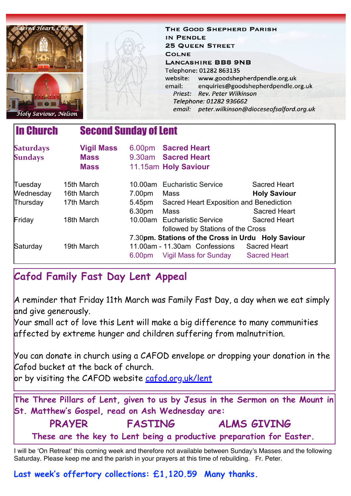| red Heart, Colne<br>Holy Saviour, Nelson           |                   |                                   | THE GOOD SHEPHERD PARISH<br>IN PENDLE<br><b>25 QUEEN STREET</b><br><b>COLNE</b><br><b>LANCASHIRE BB8 9NB</b><br>Telephone: 01282 863135<br>website:<br>email:<br><b>Rev. Peter Wilkinson</b><br>Priest:<br>Telephone: 01282 936662 | www.goodshepherdpendle.org.uk<br>enquiries@goodshepherdpendle.org.uk<br>email: peter.wilkinson@dioceseofsalford.org.uk |
|----------------------------------------------------|-------------------|-----------------------------------|------------------------------------------------------------------------------------------------------------------------------------------------------------------------------------------------------------------------------------|------------------------------------------------------------------------------------------------------------------------|
| <b>In Church</b><br><b>Second Sunday of Lent</b>   |                   |                                   |                                                                                                                                                                                                                                    |                                                                                                                        |
| <b>Saturdays</b>                                   | <b>Vigil Mass</b> |                                   | 6.00pm Sacred Heart                                                                                                                                                                                                                |                                                                                                                        |
| <b>Sundays</b>                                     | <b>Mass</b>       | 9.30am                            | <b>Sacred Heart</b>                                                                                                                                                                                                                |                                                                                                                        |
|                                                    | <b>Mass</b>       |                                   | 11.15am Holy Saviour                                                                                                                                                                                                               |                                                                                                                        |
| Tuesday                                            | 15th March        |                                   | 10.00am Eucharistic Service                                                                                                                                                                                                        | <b>Sacred Heart</b>                                                                                                    |
| Wednesday                                          | 16th March        | 7.00pm                            | <b>Mass</b>                                                                                                                                                                                                                        | <b>Holy Saviour</b>                                                                                                    |
| Thursday                                           | 17th March        | 5.45pm                            | Sacred Heart Exposition and Benediction                                                                                                                                                                                            |                                                                                                                        |
|                                                    |                   | 6.30pm                            | <b>Mass</b>                                                                                                                                                                                                                        | <b>Sacred Heart</b>                                                                                                    |
| Friday                                             | 18th March        |                                   | 10.00am Eucharistic Service                                                                                                                                                                                                        | <b>Sacred Heart</b>                                                                                                    |
|                                                    |                   | followed by Stations of the Cross |                                                                                                                                                                                                                                    |                                                                                                                        |
| 7.30pm. Stations of the Cross in Urdu Holy Saviour |                   |                                   |                                                                                                                                                                                                                                    |                                                                                                                        |
| Saturday                                           | 19th March        |                                   | 11.00am - 11.30am Confessions                                                                                                                                                                                                      | <b>Sacred Heart</b>                                                                                                    |
|                                                    |                   | 6.00 <sub>pm</sub>                | Vigil Mass for Sunday                                                                                                                                                                                                              | <b>Sacred Heart</b>                                                                                                    |

# **Cafod Family Fast Day Lent Appeal**

A reminder that Friday 11th March was Family Fast Day, a day when we eat simply and give generously.

Your small act of love this Lent will make a big difference to many communities affected by extreme hunger and children suffering from malnutrition.

You can donate in church using a CAFOD envelope or dropping your donation in the Cafod bucket at the back of church.

or by visiting the CAFOD website [cafod.org.uk/lent](https://gbr01.safelinks.protection.outlook.com/?url=http%3A%2F%2Fcafod.org.uk%2Flent&data=04%7C01%7Cpeter.wilkinson%40dioceseofsalford.org.uk%7C8b72a1b384004c19c83208d9fb9e4dde%7C699a61ae142a45a090c604b2f08de19b%7C0%7C0%7C637817479589812118%7CUnknown%7CTWFpbGZsb3d8eyJWIjoiMC4wLjAwMDAiLCJQIjoiV2luMzIiLCJBTiI6Ik1haWwiLCJXVCI6Mn0%3D%7C3000&sdata=v38oHUilWnRJxJAve1A%2F1bC5WiA85QSexQp%2FX3lInRs%3D&reserved=0)

**The Three Pillars of Lent, given to us by Jesus in the Sermon on the Mount in St. Matthew's Gospel, read on Ash Wednesday are: PRAYER FASTING ALMS GIVING These are the key to Lent being a productive preparation for Easter.**

I will be 'On Retreat' this coming week and therefore not available between Sunday's Masses and the following Saturday. Please keep me and the parish in your prayers at this time of rebuilding. Fr. Peter.

**Last week's offertory collections: £1,120.59 Many thanks.**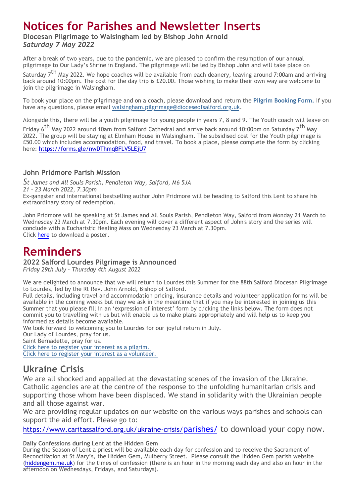# **Notices for Parishes and Newsletter Inserts**

### **Diocesan Pilgrimage to Walsingham led by Bishop John Arnold** *Saturday 7 May 2022*

After a break of two years, due to the pandemic, we are pleased to confirm the resumption of our annual pilgrimage to Our Lady's Shrine in England. The pilgrimage will be led by Bishop John and will take place on

Saturday 7<sup>th</sup> May 2022. We hope coaches will be available from each deanery, leaving around 7:00am and arriving back around 10:00pm. The cost for the day trip is £20.00. Those wishing to make their own way are welcome to join the pilgrimage in Walsingham.

To book your place on the pilgrimage and on a coach, please download and return the **[Pilgrim Booking Form.](https://gbr01.safelinks.protection.outlook.com/?url=https%3A%2F%2Fdioceseofsalford.us6.list-manage.com%2Ftrack%2Fclick%3Fu%3D76e219dab8653b775ba8aac4c%26id%3D1231ee065f%26e%3D5ce69633f0&data=04%7C01%7Cpeter.wilkinson%40dioceseofsalford.org.uk%7C2ccebc32cb194ed4faf808da01b1a59d%7C699a61ae142a45a090c604b2f08de19b%7C0%7C0%7C637824159736395177%7CUnknown%7CTWFpbGZsb3d8eyJWIjoiMC4wLjAwMDAiLCJQIjoiV2luMzIiLCJBTiI6Ik1haWwiLCJXVCI6Mn0%3D%7C3000&sdata=XyRG1p3EaDNKuwIxfXGTqF7V3p1ZRmAfO922uSYwbfw%3D&reserved=0)** [I](https://gbr01.safelinks.protection.outlook.com/?url=https%3A%2F%2Fdioceseofsalford.us6.list-manage.com%2Ftrack%2Fclick%3Fu%3D76e219dab8653b775ba8aac4c%26id%3D1231ee065f%26e%3D5ce69633f0&data=04%7C01%7Cpeter.wilkinson%40dioceseofsalford.org.uk%7C2ccebc32cb194ed4faf808da01b1a59d%7C699a61ae142a45a090c604b2f08de19b%7C0%7C0%7C637824159736395177%7CUnknown%7CTWFpbGZsb3d8eyJWIjoiMC4wLjAwMDAiLCJQIjoiV2luMzIiLCJBTiI6Ik1haWwiLCJXVCI6Mn0%3D%7C3000&sdata=XyRG1p3EaDNKuwIxfXGTqF7V3p1ZRmAfO922uSYwbfw%3D&reserved=0)f you have any questions, please email [walsingham.pilgrimage@dioceseofsalford.org.uk](mailto:walsingham.pilgrimage@dioceseofsalford.org.uk).

Alongside this, there will be a youth pilgrimage for young people in years 7, 8 and 9. The Youth coach will leave on

Friday 6<sup>th</sup> May 2022 around 10am from Salford Cathedral and arrive back around 10:00pm on Saturday 7<sup>th</sup> May 2022. The group will be staying at Elmham House in Walsingham. The subsidised cost for the Youth pilgrimage is £50.00 which includes accommodation, food, and travel. To book a place, please complete the form by clicking here: [https://forms.gle/nwDThmqBFLV5LEjU7](https://gbr01.safelinks.protection.outlook.com/?url=https%3A%2F%2Fdioceseofsalford.us6.list-manage.com%2Ftrack%2Fclick%3Fu%3D76e219dab8653b775ba8aac4c%26id%3D1685049985%26e%3D5ce69633f0&data=04%7C01%7Cpeter.wilkinson%40dioceseofsalford.org.uk%7C2ccebc32cb194ed4faf808da01b1a59d%7C699a61ae142a45a090c604b2f08de19b%7C0%7C0%7C637824159736395177%7CUnknown%7CTWFpbGZsb3d8eyJWIjoiMC4wLjAwMDAiLCJQIjoiV2luMzIiLCJBTiI6Ik1haWwiLCJXVCI6Mn0%3D%7C3000&sdata=9gzKPbjbef%2F5FrbY9RA%2Bq93beLZDYQ7ISpeYBXZVj80%3D&reserved=0)

#### **John Pridmore Parish Mission**

*St James and All Souls Parish, Pendleton Way, Salford, M6 5JA 21 - 23 March 2022, 7.30pm* Ex-gangster and international bestselling author John Pridmore will be heading to Salford this Lent to share his extraordinary story of redemption.

John Pridmore will be speaking at St James and All Souls Parish, Pendleton Way, Salford from Monday 21 March to Wednesday 23 March at 7.30pm. Each evening will cover a different aspect of John's story and the series will conclude with a Eucharistic Healing Mass on Wednesday 23 March at 7.30pm. Click [here](https://gbr01.safelinks.protection.outlook.com/?url=https%3A%2F%2Fdioceseofsalford.us6.list-manage.com%2Ftrack%2Fclick%3Fu%3D76e219dab8653b775ba8aac4c%26id%3D9cbc2f23b7%26e%3D5ce69633f0&data=04%7C01%7Cpeter.wilkinson%40dioceseofsalford.org.uk%7C2ccebc32cb194ed4faf808da01b1a59d%7C699a61ae142a45a090c604b2f08de19b%7C0%7C0%7C637824159736395177%7CUnknown%7CTWFpbGZsb3d8eyJWIjoiMC4wLjAwMDAiLCJQIjoiV2luMzIiLCJBTiI6Ik1haWwiLCJXVCI6Mn0%3D%7C3000&sdata=BZQgKhbrGbCZhn7NnTNyaBjplLlZ%2FEDbiGCI0Mh8UfY%3D&reserved=0) to download a poster.

# **Reminders**

**2022 Salford Lourdes Pilgrimage is Announced**

*Friday 29th July – Thursday 4th August 2022*

We are delighted to announce that we will return to Lourdes this Summer for the 88th Salford Diocesan Pilgrimage to Lourdes, led by the Rt Rev. John Arnold, Bishop of Salford.

Full details, including travel and accommodation pricing, insurance details and volunteer application forms will be available in the coming weeks but may we ask in the meantime that if you may be interested in joining us this Summer that you please fill in an 'expression of interest' form by clicking the links below. The form does not commit you to travelling with us but will enable us to make plans appropriately and will help us to keep you informed as details become available.

We look forward to welcoming you to Lourdes for our joyful return in July.

Our Lady of Lourdes, pray for us.

Saint Bernadette, pray for us.

[Click here to register your interest as a pilgrim.](https://gbr01.safelinks.protection.outlook.com/?url=https%3A%2F%2Fdioceseofsalford.us6.list-manage.com%2Ftrack%2Fclick%3Fu%3D76e219dab8653b775ba8aac4c%26id%3Dbb417f2190%26e%3D5ce69633f0&data=04%7C01%7Cpeter.wilkinson%40dioceseofsalford.org.uk%7C2ccebc32cb194ed4faf808da01b1a59d%7C699a61ae142a45a090c604b2f08de19b%7C0%7C0%7C637824159736395177%7CUnknown%7CTWFpbGZsb3d8eyJWIjoiMC4wLjAwMDAiLCJQIjoiV2luMzIiLCJBTiI6Ik1haWwiLCJXVCI6Mn0%3D%7C3000&sdata=KDSPlb5%2F0dRpqMuAxGJhcWj2dF1NxSy3bn%2BMjOkxVBw%3D&reserved=0) [Click here to register your interest as a volunteer.](https://gbr01.safelinks.protection.outlook.com/?url=https%3A%2F%2Fdioceseofsalford.us6.list-manage.com%2Ftrack%2Fclick%3Fu%3D76e219dab8653b775ba8aac4c%26id%3D4008231367%26e%3D5ce69633f0&data=04%7C01%7Cpeter.wilkinson%40dioceseofsalford.org.uk%7C2ccebc32cb194ed4faf808da01b1a59d%7C699a61ae142a45a090c604b2f08de19b%7C0%7C0%7C637824159736395177%7CUnknown%7CTWFpbGZsb3d8eyJWIjoiMC4wLjAwMDAiLCJQIjoiV2luMzIiLCJBTiI6Ik1haWwiLCJXVCI6Mn0%3D%7C3000&sdata=dGHKrjcjclhJmSU1GZMTwvy%2Bk2vcqL2UOFyx0r3rA7k%3D&reserved=0)

### **Ukraine Crisis**

We are all shocked and appalled at the devastating scenes of the invasion of the Ukraine. Catholic agencies are at the centre of the response to the unfolding humanitarian crisis and supporting those whom have been displaced. We stand in solidarity with the Ukrainian people and all those against war.

We are providing regular updates on our website on the various ways parishes and schools can support the aid effort. Please go to:

[https://www.caritassalford.org.uk/ukraine-crisis/](https://gbr01.safelinks.protection.outlook.com/?url=https%3A%2F%2Fdioceseofsalford.us6.list-manage.com%2Ftrack%2Fclick%3Fu%3D76e219dab8653b775ba8aac4c%26id%3D24bd737d8a%26e%3D5ce69633f0&data=04%7C01%7Cpeter.wilkinson%40dioceseofsalford.org.uk%7C2ccebc32cb194ed4faf808da01b1a59d%7C699a61ae142a45a090c604b2f08de19b%7C0%7C0%7C637824159736395177%7CUnknown%7CTWFpbGZsb3d8eyJWIjoiMC4wLjAwMDAiLCJQIjoiV2luMzIiLCJBTiI6Ik1haWwiLCJXVCI6Mn0%3D%7C3000&sdata=pUwLhO3M7y1rCzlk%2FbPKQtQl0PwaLDKfTLmRV9vot3o%3D&reserved=0)[parishes/](https://gbr01.safelinks.protection.outlook.com/?url=https%3A%2F%2Fdioceseofsalford.us6.list-manage.com%2Ftrack%2Fclick%3Fu%3D76e219dab8653b775ba8aac4c%26id%3De509d717f5%26e%3D5ce69633f0&data=04%7C01%7Cpeter.wilkinson%40dioceseofsalford.org.uk%7C2ccebc32cb194ed4faf808da01b1a59d%7C699a61ae142a45a090c604b2f08de19b%7C0%7C0%7C637824159736551387%7CUnknown%7CTWFpbGZsb3d8eyJWIjoiMC4wLjAwMDAiLCJQIjoiV2luMzIiLCJBTiI6Ik1haWwiLCJXVCI6Mn0%3D%7C3000&sdata=e9TiXu78S3aBprm8yuotp27682jaAJHJaPLG57SYwHY%3D&reserved=0) to download your copy now.

**Daily Confessions during Lent at the Hidden Gem**

During the Season of Lent a priest will be available each day for confession and to receive the Sacrament of Reconciliation at St Mary's, the Hidden Gem, Mulberry Street. Please consult the Hidden Gem parish website ([hiddengem.me.uk](https://gbr01.safelinks.protection.outlook.com/?url=https%3A%2F%2Fdioceseofsalford.us6.list-manage.com%2Ftrack%2Fclick%3Fu%3D76e219dab8653b775ba8aac4c%26id%3D4af80f909f%26e%3D5ce69633f0&data=04%7C01%7Cpeter.wilkinson%40dioceseofsalford.org.uk%7C2ccebc32cb194ed4faf808da01b1a59d%7C699a61ae142a45a090c604b2f08de19b%7C0%7C0%7C637824159736551387%7CUnknown%7CTWFpbGZsb3d8eyJWIjoiMC4wLjAwMDAiLCJQIjoiV2luMzIiLCJBTiI6Ik1haWwiLCJXVCI6Mn0%3D%7C3000&sdata=g3LBfFZFWBFCHjdif%2BwWi4zbvX3nSsYJLvWNyNHqdBE%3D&reserved=0)) for the times of confession (there is an hour in the morning each day and also an hour in the afternoon on Wednesdays, Fridays, and Saturdays).